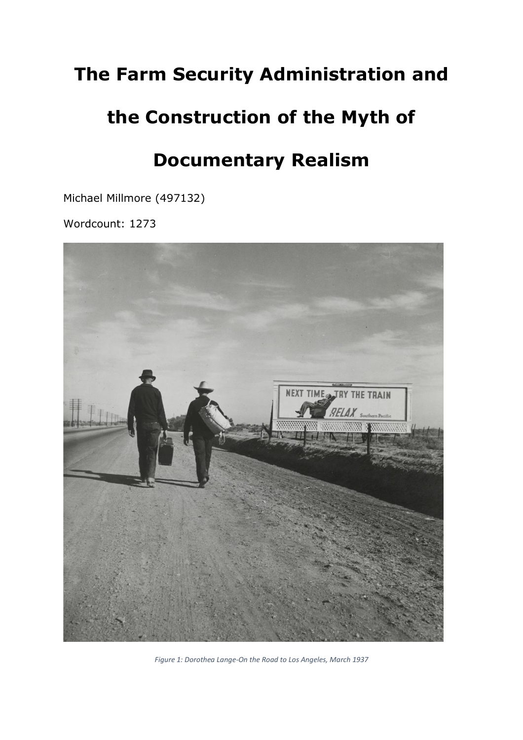# **The Farm Security Administration and**

# **the Construction of the Myth of**

## **Documentary Realism**

Michael Millmore (497132)

Wordcount: 1273



*Figure 1: Dorothea Lange-On the Road to Los Angeles, March 1937*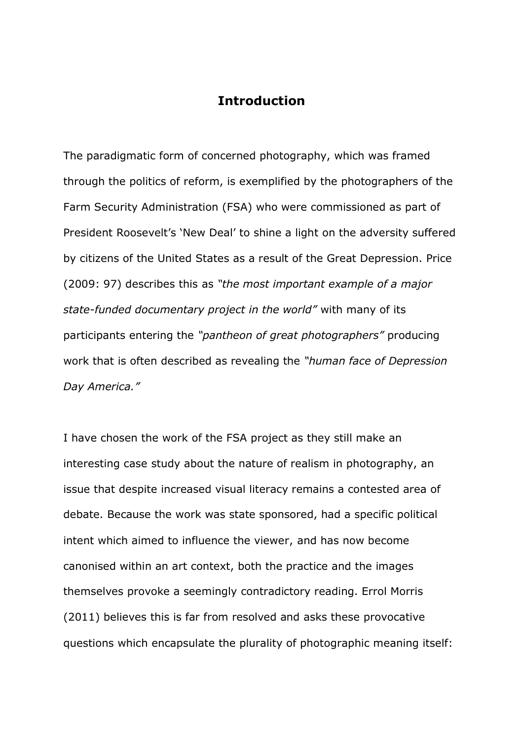#### **Introduction**

The paradigmatic form of concerned photography, which was framed through the politics of reform, is exemplified by the photographers of the Farm Security Administration (FSA) who were commissioned as part of President Roosevelt's 'New Deal' to shine a light on the adversity suffered by citizens of the United States as a result of the Great Depression. Price (2009: 97) describes this as *"the most important example of a major state-funded documentary project in the world"* with many of its participants entering the *"pantheon of great photographers"* producing work that is often described as revealing the *"human face of Depression Day America."* 

I have chosen the work of the FSA project as they still make an interesting case study about the nature of realism in photography, an issue that despite increased visual literacy remains a contested area of debate. Because the work was state sponsored, had a specific political intent which aimed to influence the viewer, and has now become canonised within an art context, both the practice and the images themselves provoke a seemingly contradictory reading. Errol Morris (2011) believes this is far from resolved and asks these provocative questions which encapsulate the plurality of photographic meaning itself: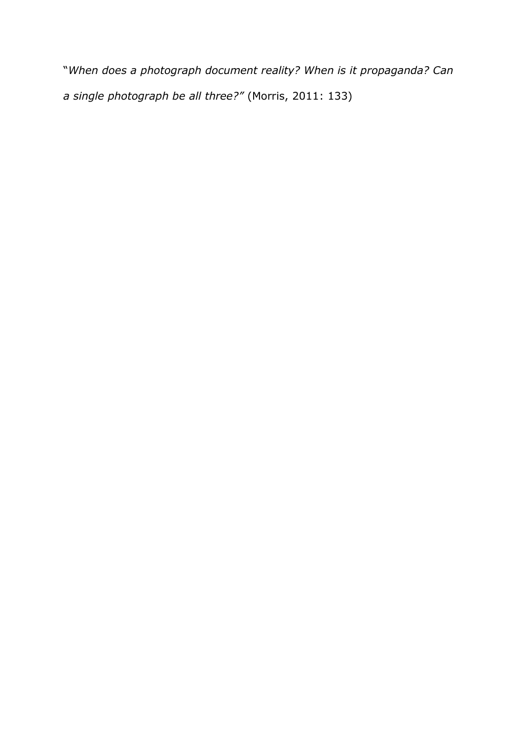"*When does a photograph document reality? When is it propaganda? Can a single photograph be all three?"* (Morris, 2011: 133)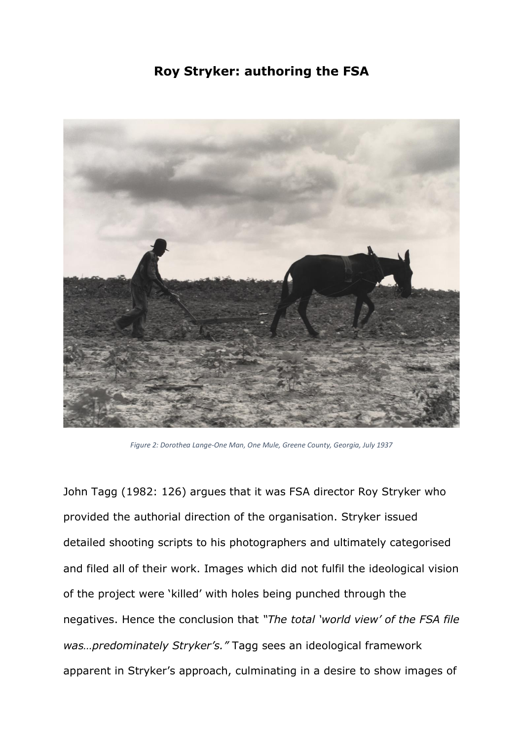#### **Roy Stryker: authoring the FSA**



*Figure 2: Dorothea Lange-One Man, One Mule, Greene County, Georgia, July 1937*

John Tagg (1982: 126) argues that it was FSA director Roy Stryker who provided the authorial direction of the organisation. Stryker issued detailed shooting scripts to his photographers and ultimately categorised and filed all of their work. Images which did not fulfil the ideological vision of the project were 'killed' with holes being punched through the negatives. Hence the conclusion that *"The total 'world view' of the FSA file was…predominately Stryker's."* Tagg sees an ideological framework apparent in Stryker's approach, culminating in a desire to show images of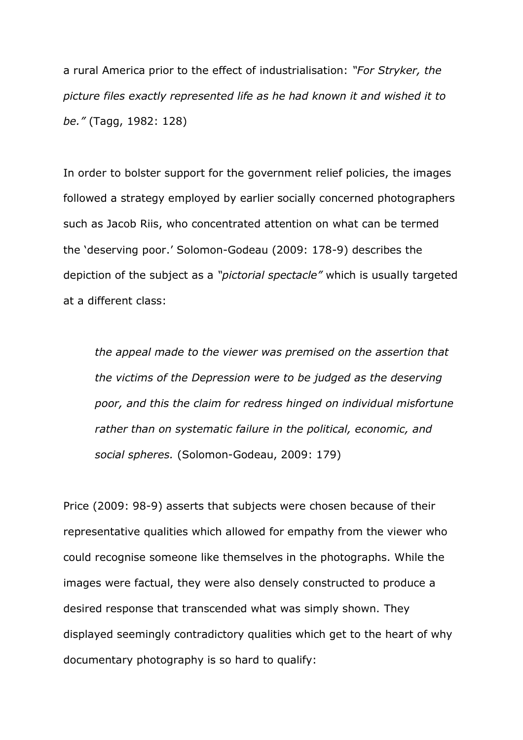a rural America prior to the effect of industrialisation: *"For Stryker, the picture files exactly represented life as he had known it and wished it to be."* (Tagg, 1982: 128)

In order to bolster support for the government relief policies, the images followed a strategy employed by earlier socially concerned photographers such as Jacob Riis, who concentrated attention on what can be termed the 'deserving poor.' Solomon-Godeau (2009: 178-9) describes the depiction of the subject as a *"pictorial spectacle"* which is usually targeted at a different class:

*the appeal made to the viewer was premised on the assertion that the victims of the Depression were to be judged as the deserving poor, and this the claim for redress hinged on individual misfortune rather than on systematic failure in the political, economic, and social spheres.* (Solomon-Godeau, 2009: 179)

Price (2009: 98-9) asserts that subjects were chosen because of their representative qualities which allowed for empathy from the viewer who could recognise someone like themselves in the photographs. While the images were factual, they were also densely constructed to produce a desired response that transcended what was simply shown. They displayed seemingly contradictory qualities which get to the heart of why documentary photography is so hard to qualify: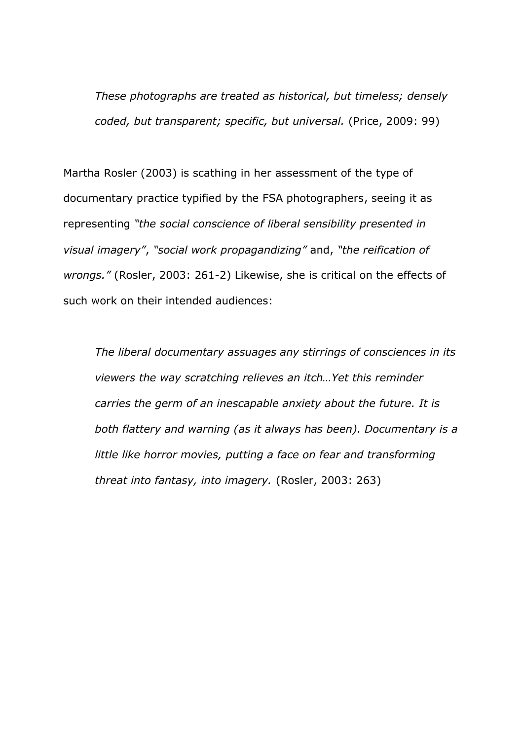*These photographs are treated as historical, but timeless; densely coded, but transparent; specific, but universal.* (Price, 2009: 99)

Martha Rosler (2003) is scathing in her assessment of the type of documentary practice typified by the FSA photographers, seeing it as representing *"the social conscience of liberal sensibility presented in visual imagery"*, *"social work propagandizing"* and, *"the reification of wrongs."* (Rosler, 2003: 261-2) Likewise, she is critical on the effects of such work on their intended audiences:

*The liberal documentary assuages any stirrings of consciences in its viewers the way scratching relieves an itch…Yet this reminder carries the germ of an inescapable anxiety about the future. It is both flattery and warning (as it always has been). Documentary is a little like horror movies, putting a face on fear and transforming threat into fantasy, into imagery.* (Rosler, 2003: 263)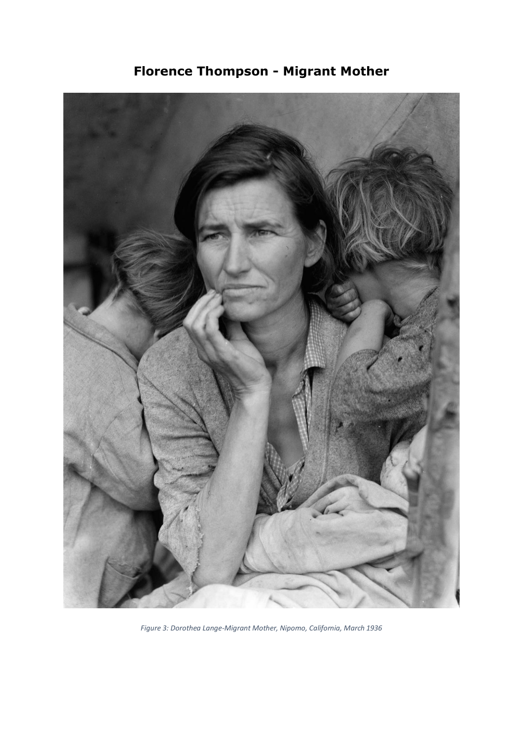

**Florence Thompson - Migrant Mother**

*Figure 3: Dorothea Lange-Migrant Mother, Nipomo, California, March 1936*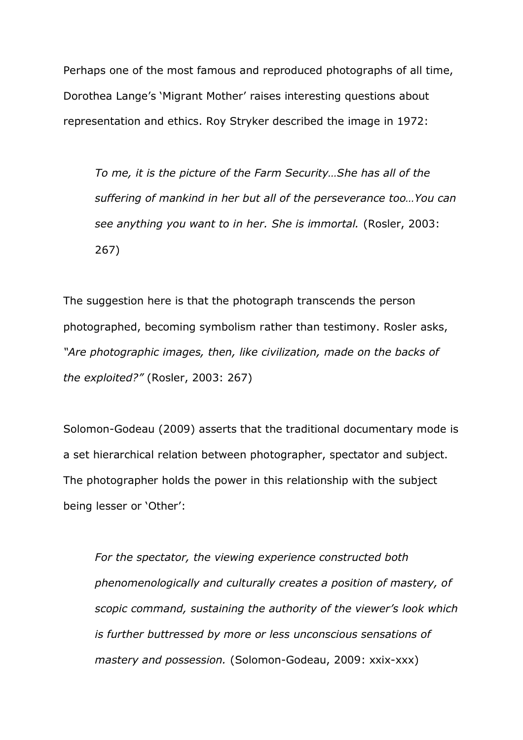Perhaps one of the most famous and reproduced photographs of all time, Dorothea Lange's 'Migrant Mother' raises interesting questions about representation and ethics. Roy Stryker described the image in 1972:

*To me, it is the picture of the Farm Security…She has all of the suffering of mankind in her but all of the perseverance too…You can see anything you want to in her. She is immortal.* (Rosler, 2003: 267)

The suggestion here is that the photograph transcends the person photographed, becoming symbolism rather than testimony. Rosler asks, *"Are photographic images, then, like civilization, made on the backs of the exploited?"* (Rosler, 2003: 267)

Solomon-Godeau (2009) asserts that the traditional documentary mode is a set hierarchical relation between photographer, spectator and subject. The photographer holds the power in this relationship with the subject being lesser or 'Other':

*For the spectator, the viewing experience constructed both phenomenologically and culturally creates a position of mastery, of scopic command, sustaining the authority of the viewer's look which is further buttressed by more or less unconscious sensations of mastery and possession.* (Solomon-Godeau, 2009: xxix-xxx)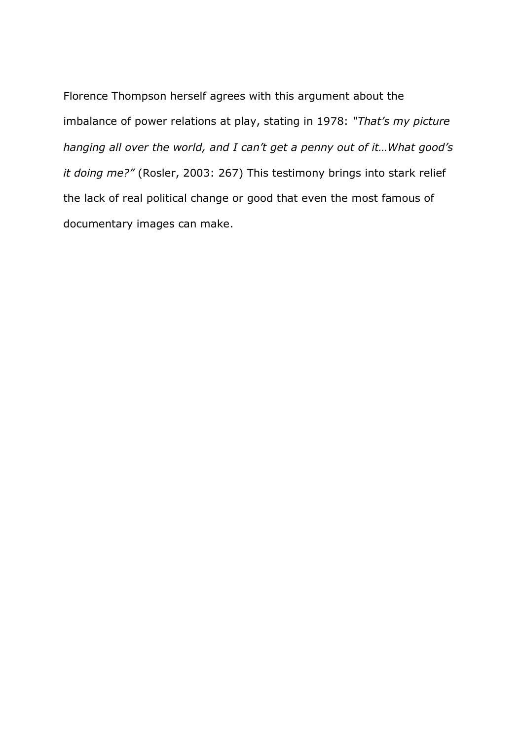Florence Thompson herself agrees with this argument about the imbalance of power relations at play, stating in 1978: *"That's my picture hanging all over the world, and I can't get a penny out of it…What good's it doing me?"* (Rosler, 2003: 267) This testimony brings into stark relief the lack of real political change or good that even the most famous of documentary images can make.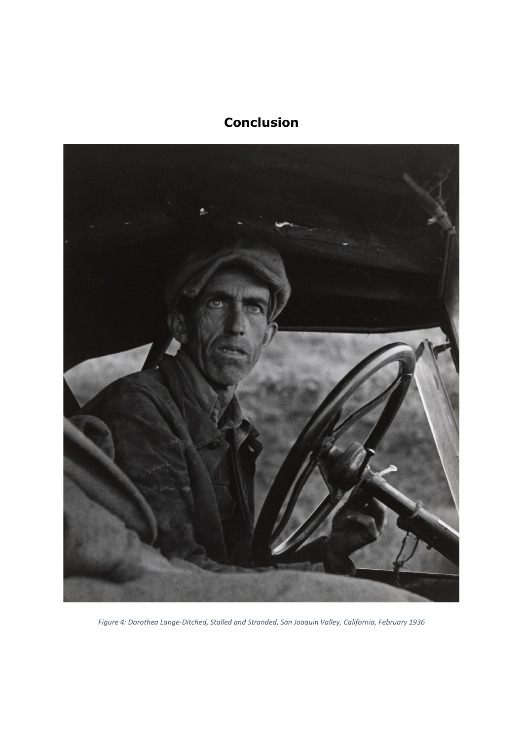### **Conclusion**



*Figure 4: Dorothea Lange-Ditched, Stalled and Stranded, San Joaquin Valley, California, February 1936*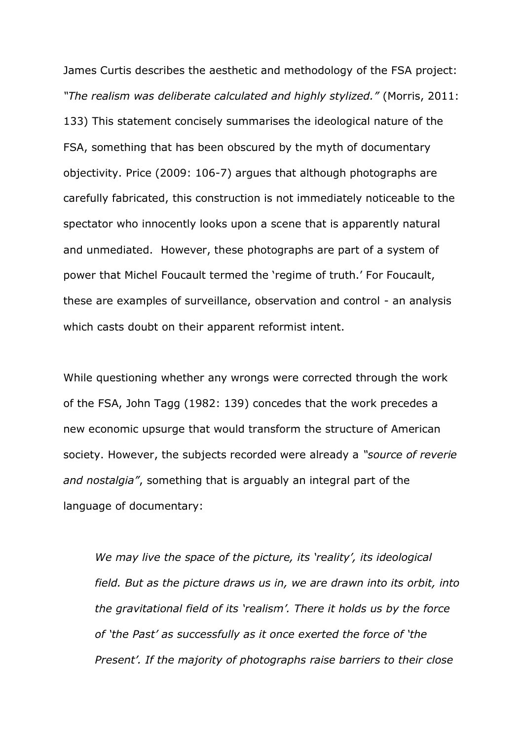James Curtis describes the aesthetic and methodology of the FSA project: *"The realism was deliberate calculated and highly stylized."* (Morris, 2011: 133) This statement concisely summarises the ideological nature of the FSA, something that has been obscured by the myth of documentary objectivity. Price (2009: 106-7) argues that although photographs are carefully fabricated, this construction is not immediately noticeable to the spectator who innocently looks upon a scene that is apparently natural and unmediated. However, these photographs are part of a system of power that Michel Foucault termed the 'regime of truth.' For Foucault, these are examples of surveillance, observation and control - an analysis which casts doubt on their apparent reformist intent.

While questioning whether any wrongs were corrected through the work of the FSA, John Tagg (1982: 139) concedes that the work precedes a new economic upsurge that would transform the structure of American society. However, the subjects recorded were already a *"source of reverie and nostalgia"*, something that is arguably an integral part of the language of documentary:

*We may live the space of the picture, its 'reality', its ideological field. But as the picture draws us in, we are drawn into its orbit, into the gravitational field of its 'realism'. There it holds us by the force of 'the Past' as successfully as it once exerted the force of 'the Present'. If the majority of photographs raise barriers to their close*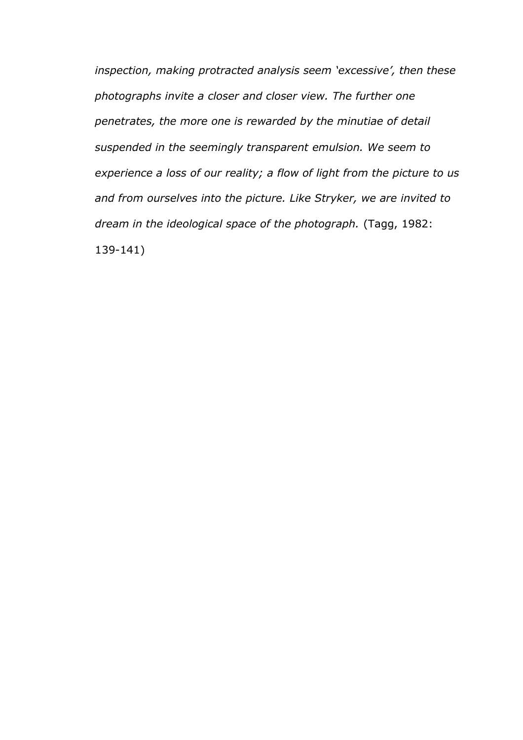*inspection, making protracted analysis seem 'excessive', then these photographs invite a closer and closer view. The further one penetrates, the more one is rewarded by the minutiae of detail suspended in the seemingly transparent emulsion. We seem to experience a loss of our reality; a flow of light from the picture to us and from ourselves into the picture. Like Stryker, we are invited to dream in the ideological space of the photograph.* (Tagg, 1982: 139-141)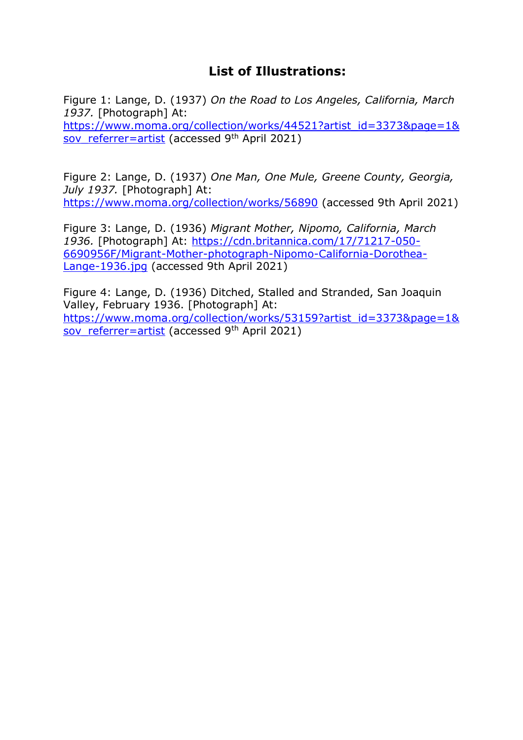#### **List of Illustrations:**

Figure 1: Lange, D. (1937) *On the Road to Los Angeles, California, March 1937.* [Photograph] At: [https://www.moma.org/collection/works/44521?artist\\_id=3373&page=1&](https://www.moma.org/collection/works/44521?artist_id=3373&page=1&sov_referrer=artist) [sov\\_referrer=artist](https://www.moma.org/collection/works/44521?artist_id=3373&page=1&sov_referrer=artist) (accessed  $9<sup>th</sup>$  April 2021)

Figure 2: Lange, D. (1937) *One Man, One Mule, Greene County, Georgia, July 1937.* [Photograph] At: <https://www.moma.org/collection/works/56890> (accessed 9th April 2021)

Figure 3: Lange, D. (1936) *Migrant Mother, Nipomo, California, March 1936.* [Photograph] At: [https://cdn.britannica.com/17/71217-050-](https://cdn.britannica.com/17/71217-050-6690956F/Migrant-Mother-photograph-Nipomo-California-Dorothea-Lange-1936.jpg) [6690956F/Migrant-Mother-photograph-Nipomo-California-Dorothea-](https://cdn.britannica.com/17/71217-050-6690956F/Migrant-Mother-photograph-Nipomo-California-Dorothea-Lange-1936.jpg)[Lange-1936.jpg](https://cdn.britannica.com/17/71217-050-6690956F/Migrant-Mother-photograph-Nipomo-California-Dorothea-Lange-1936.jpg) (accessed 9th April 2021)

Figure 4: Lange, D. (1936) Ditched, Stalled and Stranded, San Joaquin Valley, February 1936. [Photograph] At: [https://www.moma.org/collection/works/53159?artist\\_id=3373&page=1&](https://www.moma.org/collection/works/53159?artist_id=3373&page=1&sov_referrer=artist) [sov\\_referrer=artist](https://www.moma.org/collection/works/53159?artist_id=3373&page=1&sov_referrer=artist) (accessed 9th April 2021)